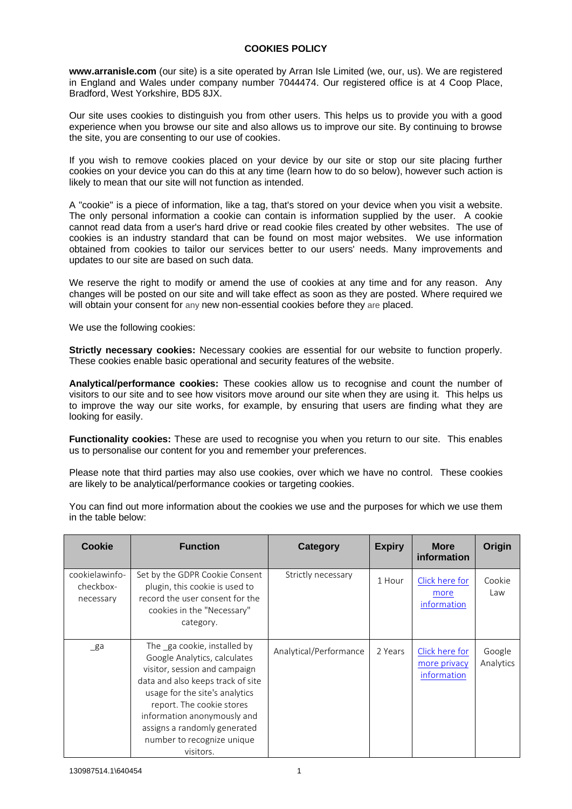## **COOKIES POLICY**

**www.arranisle.com** (our site) is a site operated by Arran Isle Limited (we, our, us). We are registered in England and Wales under company number 7044474. Our registered office is at 4 Coop Place, Bradford, West Yorkshire, BD5 8JX.

Our site uses cookies to distinguish you from other users. This helps us to provide you with a good experience when you browse our site and also allows us to improve our site. By continuing to browse the site, you are consenting to our use of cookies.

If you wish to remove cookies placed on your device by our site or stop our site placing further cookies on your device you can do this at any time (learn how to do so below), however such action is likely to mean that our site will not function as intended.

A "cookie" is a piece of information, like a tag, that's stored on your device when you visit a website. The only personal information a cookie can contain is information supplied by the user. A cookie cannot read data from a user's hard drive or read cookie files created by other websites. The use of cookies is an industry standard that can be found on most major websites. We use information obtained from cookies to tailor our services better to our users' needs. Many improvements and updates to our site are based on such data.

We reserve the right to modify or amend the use of cookies at any time and for any reason. Any changes will be posted on our site and will take effect as soon as they are posted. Where required we will obtain your consent for any new non-essential cookies before they are placed.

We use the following cookies:

**Strictly necessary cookies:** Necessary cookies are essential for our website to function properly. These cookies enable basic operational and security features of the website.

**Analytical/performance cookies:** These cookies allow us to recognise and count the number of visitors to our site and to see how visitors move around our site when they are using it. This helps us to improve the way our site works, for example, by ensuring that users are finding what they are looking for easily.

**Functionality cookies:** These are used to recognise you when you return to our site. This enables us to personalise our content for you and remember your preferences.

Please note that third parties may also use cookies, over which we have no control. These cookies are likely to be analytical/performance cookies or targeting cookies.

You can find out more information about the cookies we use and the purposes for which we use them in the table below:

| Cookie                                   | <b>Function</b>                                                                                                                                                                                                                                                                                            | Category               | <b>Expiry</b> | <b>More</b><br>information                    | Origin              |
|------------------------------------------|------------------------------------------------------------------------------------------------------------------------------------------------------------------------------------------------------------------------------------------------------------------------------------------------------------|------------------------|---------------|-----------------------------------------------|---------------------|
| cookielawinfo-<br>checkbox-<br>necessary | Set by the GDPR Cookie Consent<br>plugin, this cookie is used to<br>record the user consent for the<br>cookies in the "Necessary"<br>category.                                                                                                                                                             | Strictly necessary     | 1 Hour        | Click here for<br>more<br>information         | Cookie<br>Law       |
| $\mathsf{g}$ a                           | The ga cookie, installed by<br>Google Analytics, calculates<br>visitor, session and campaign<br>data and also keeps track of site<br>usage for the site's analytics<br>report. The cookie stores<br>information anonymously and<br>assigns a randomly generated<br>number to recognize unique<br>visitors. | Analytical/Performance | 2 Years       | Click here for<br>more privacy<br>information | Google<br>Analytics |